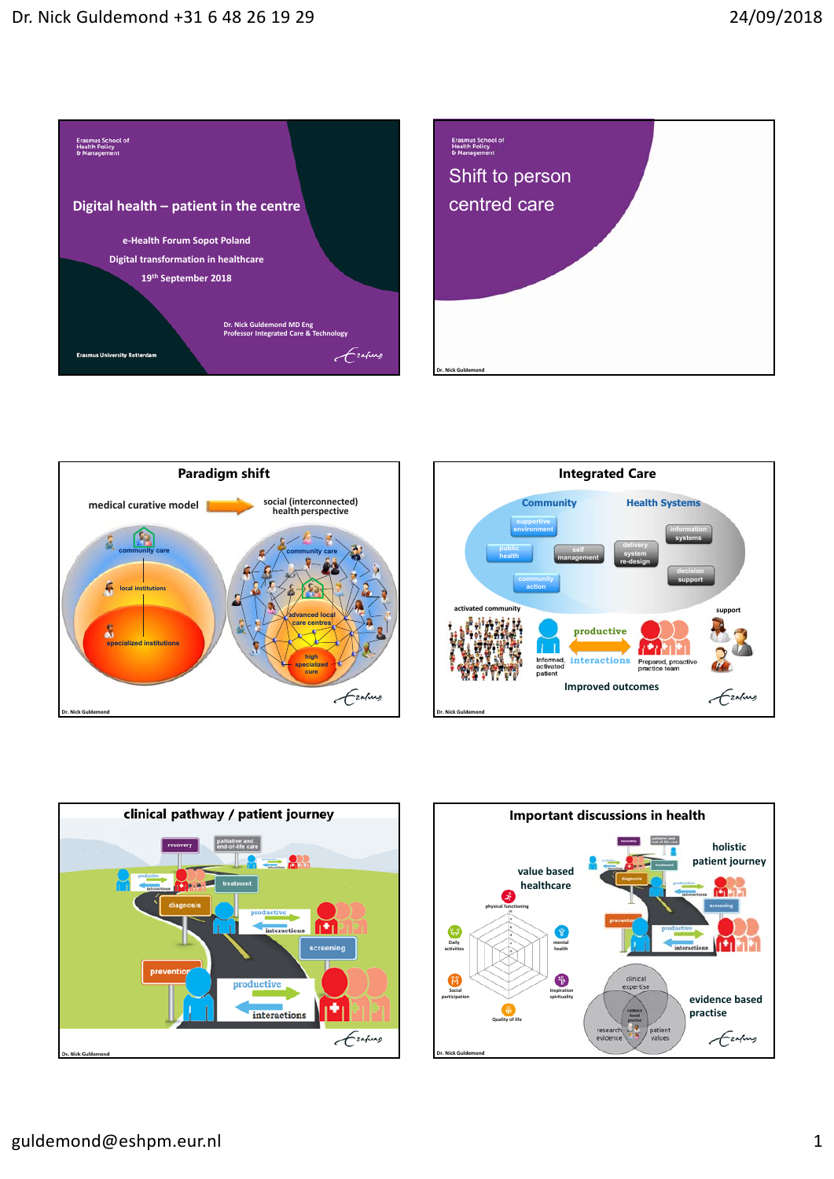









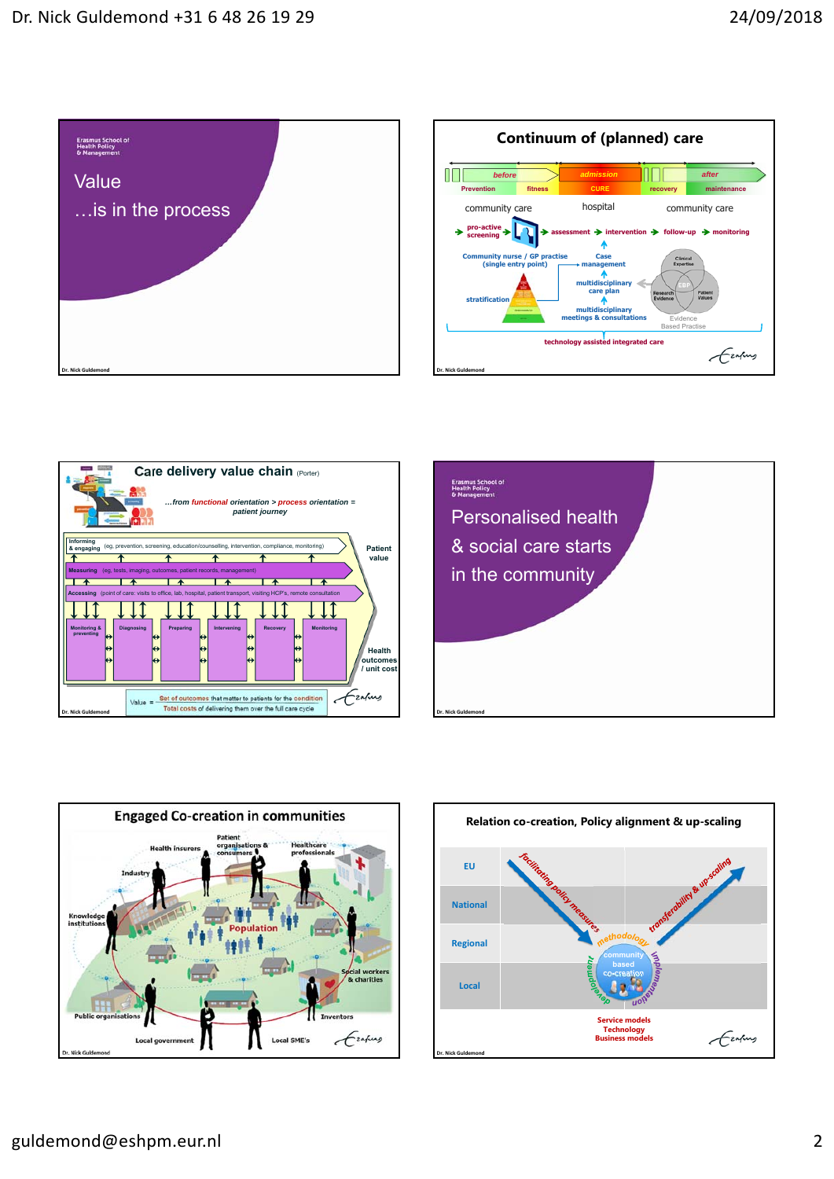